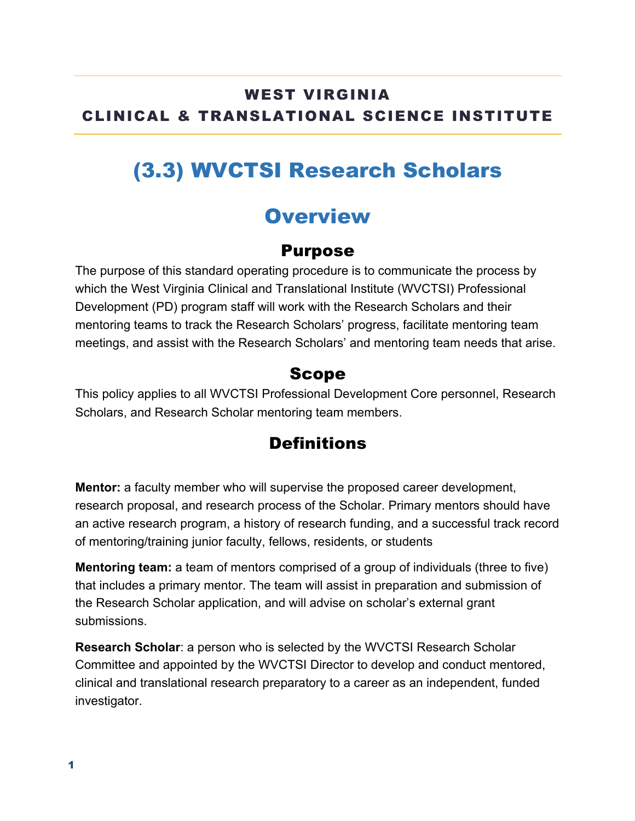## WEST VIRGINIA CLINICAL & TRANSLATIONAL SCIENCE INSTITUTE

## (3.3) WVCTSI Research Scholars

## **Overview**

### Purpose

The purpose of this standard operating procedure is to communicate the process by which the West Virginia Clinical and Translational Institute (WVCTSI) Professional Development (PD) program staff will work with the Research Scholars and their mentoring teams to track the Research Scholars' progress, facilitate mentoring team meetings, and assist with the Research Scholars' and mentoring team needs that arise.

### Scope

This policy applies to all WVCTSI Professional Development Core personnel, Research Scholars, and Research Scholar mentoring team members.

## **Definitions**

**Mentor:** a faculty member who will supervise the proposed career development, research proposal, and research process of the Scholar. Primary mentors should have an active research program, a history of research funding, and a successful track record of mentoring/training junior faculty, fellows, residents, or students

**Mentoring team:** a team of mentors comprised of a group of individuals (three to five) that includes a primary mentor. The team will assist in preparation and submission of the Research Scholar application, and will advise on scholar's external grant submissions.

**Research Scholar**: a person who is selected by the WVCTSI Research Scholar Committee and appointed by the WVCTSI Director to develop and conduct mentored, clinical and translational research preparatory to a career as an independent, funded investigator.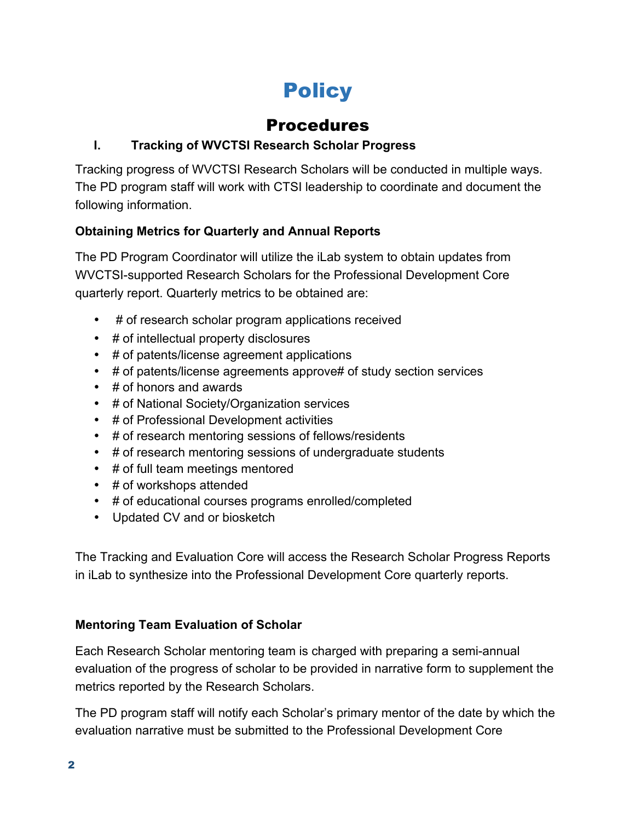# **Policy**

## Procedures

#### **I. Tracking of WVCTSI Research Scholar Progress**

Tracking progress of WVCTSI Research Scholars will be conducted in multiple ways. The PD program staff will work with CTSI leadership to coordinate and document the following information.

#### **Obtaining Metrics for Quarterly and Annual Reports**

The PD Program Coordinator will utilize the iLab system to obtain updates from WVCTSI-supported Research Scholars for the Professional Development Core quarterly report. Quarterly metrics to be obtained are:

- # of research scholar program applications received
- # of intellectual property disclosures
- # of patents/license agreement applications
- # of patents/license agreements approve# of study section services
- # of honors and awards
- # of National Society/Organization services
- # of Professional Development activities
- # of research mentoring sessions of fellows/residents
- # of research mentoring sessions of undergraduate students
- # of full team meetings mentored
- # of workshops attended
- # of educational courses programs enrolled/completed
- Updated CV and or biosketch

The Tracking and Evaluation Core will access the Research Scholar Progress Reports in iLab to synthesize into the Professional Development Core quarterly reports.

#### **Mentoring Team Evaluation of Scholar**

Each Research Scholar mentoring team is charged with preparing a semi-annual evaluation of the progress of scholar to be provided in narrative form to supplement the metrics reported by the Research Scholars.

The PD program staff will notify each Scholar's primary mentor of the date by which the evaluation narrative must be submitted to the Professional Development Core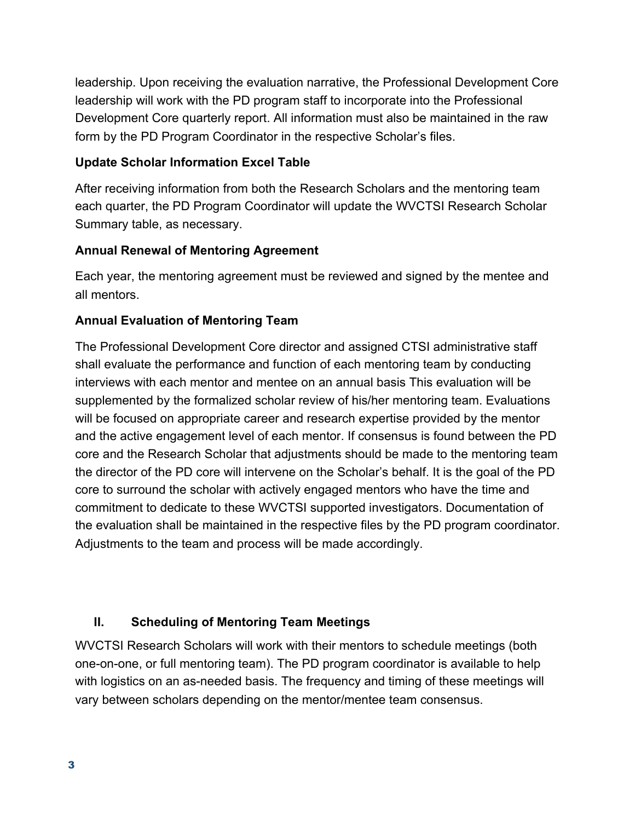leadership. Upon receiving the evaluation narrative, the Professional Development Core leadership will work with the PD program staff to incorporate into the Professional Development Core quarterly report. All information must also be maintained in the raw form by the PD Program Coordinator in the respective Scholar's files.

#### **Update Scholar Information Excel Table**

After receiving information from both the Research Scholars and the mentoring team each quarter, the PD Program Coordinator will update the WVCTSI Research Scholar Summary table, as necessary.

#### **Annual Renewal of Mentoring Agreement**

Each year, the mentoring agreement must be reviewed and signed by the mentee and all mentors.

#### **Annual Evaluation of Mentoring Team**

The Professional Development Core director and assigned CTSI administrative staff shall evaluate the performance and function of each mentoring team by conducting interviews with each mentor and mentee on an annual basis This evaluation will be supplemented by the formalized scholar review of his/her mentoring team. Evaluations will be focused on appropriate career and research expertise provided by the mentor and the active engagement level of each mentor. If consensus is found between the PD core and the Research Scholar that adjustments should be made to the mentoring team the director of the PD core will intervene on the Scholar's behalf. It is the goal of the PD core to surround the scholar with actively engaged mentors who have the time and commitment to dedicate to these WVCTSI supported investigators. Documentation of the evaluation shall be maintained in the respective files by the PD program coordinator. Adjustments to the team and process will be made accordingly.

#### **II. Scheduling of Mentoring Team Meetings**

WVCTSI Research Scholars will work with their mentors to schedule meetings (both one-on-one, or full mentoring team). The PD program coordinator is available to help with logistics on an as-needed basis. The frequency and timing of these meetings will vary between scholars depending on the mentor/mentee team consensus.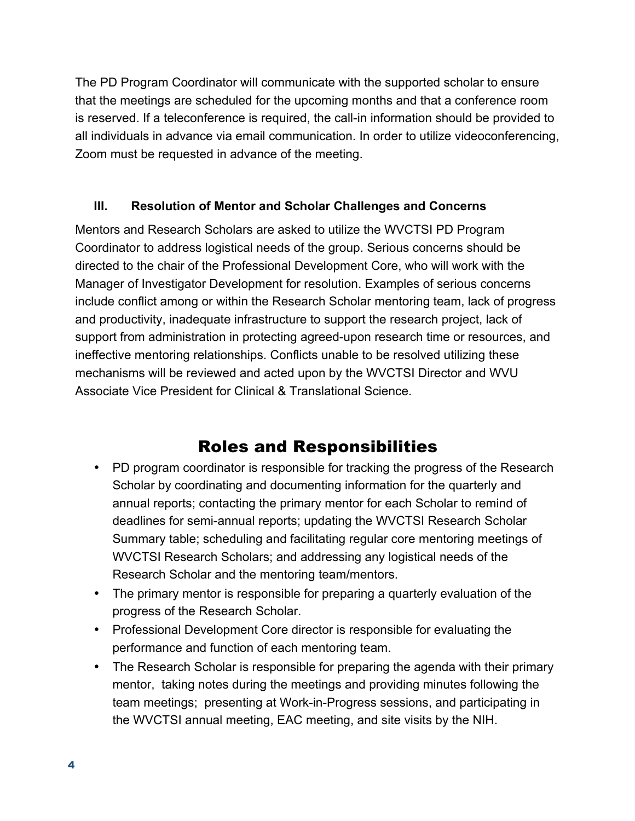The PD Program Coordinator will communicate with the supported scholar to ensure that the meetings are scheduled for the upcoming months and that a conference room is reserved. If a teleconference is required, the call-in information should be provided to all individuals in advance via email communication. In order to utilize videoconferencing, Zoom must be requested in advance of the meeting.

#### **III. Resolution of Mentor and Scholar Challenges and Concerns**

Mentors and Research Scholars are asked to utilize the WVCTSI PD Program Coordinator to address logistical needs of the group. Serious concerns should be directed to the chair of the Professional Development Core, who will work with the Manager of Investigator Development for resolution. Examples of serious concerns include conflict among or within the Research Scholar mentoring team, lack of progress and productivity, inadequate infrastructure to support the research project, lack of support from administration in protecting agreed-upon research time or resources, and ineffective mentoring relationships. Conflicts unable to be resolved utilizing these mechanisms will be reviewed and acted upon by the WVCTSI Director and WVU Associate Vice President for Clinical & Translational Science.

## Roles and Responsibilities

- PD program coordinator is responsible for tracking the progress of the Research Scholar by coordinating and documenting information for the quarterly and annual reports; contacting the primary mentor for each Scholar to remind of deadlines for semi-annual reports; updating the WVCTSI Research Scholar Summary table; scheduling and facilitating regular core mentoring meetings of WVCTSI Research Scholars; and addressing any logistical needs of the Research Scholar and the mentoring team/mentors.
- The primary mentor is responsible for preparing a quarterly evaluation of the progress of the Research Scholar.
- Professional Development Core director is responsible for evaluating the performance and function of each mentoring team.
- The Research Scholar is responsible for preparing the agenda with their primary mentor, taking notes during the meetings and providing minutes following the team meetings; presenting at Work-in-Progress sessions, and participating in the WVCTSI annual meeting, EAC meeting, and site visits by the NIH.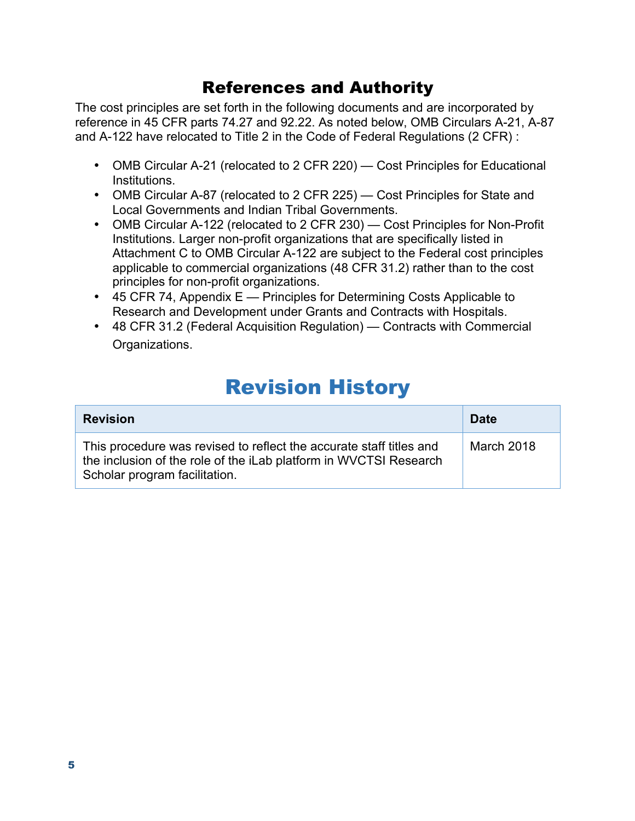### References and Authority

The cost principles are set forth in the following documents and are incorporated by reference in 45 CFR parts 74.27 and 92.22. As noted below, OMB Circulars A-21, A-87 and A-122 have relocated to Title 2 in the Code of Federal Regulations (2 CFR) :

- OMB Circular A-21 (relocated to 2 CFR 220) Cost Principles for Educational Institutions.
- OMB Circular A-87 (relocated to 2 CFR 225) Cost Principles for State and Local Governments and Indian Tribal Governments.
- OMB Circular A-122 (relocated to 2 CFR 230) Cost Principles for Non-Profit Institutions. Larger non-profit organizations that are specifically listed in Attachment C to OMB Circular A-122 are subject to the Federal cost principles applicable to commercial organizations (48 CFR 31.2) rather than to the cost principles for non-profit organizations.
- 45 CFR 74, Appendix E Principles for Determining Costs Applicable to Research and Development under Grants and Contracts with Hospitals.
- 48 CFR 31.2 (Federal Acquisition Regulation) Contracts with Commercial Organizations.

## Revision History

| <b>Revision</b>                                                                                                                                                           | <b>Date</b> |
|---------------------------------------------------------------------------------------------------------------------------------------------------------------------------|-------------|
| This procedure was revised to reflect the accurate staff titles and<br>the inclusion of the role of the iLab platform in WVCTSI Research<br>Scholar program facilitation. | March 2018  |